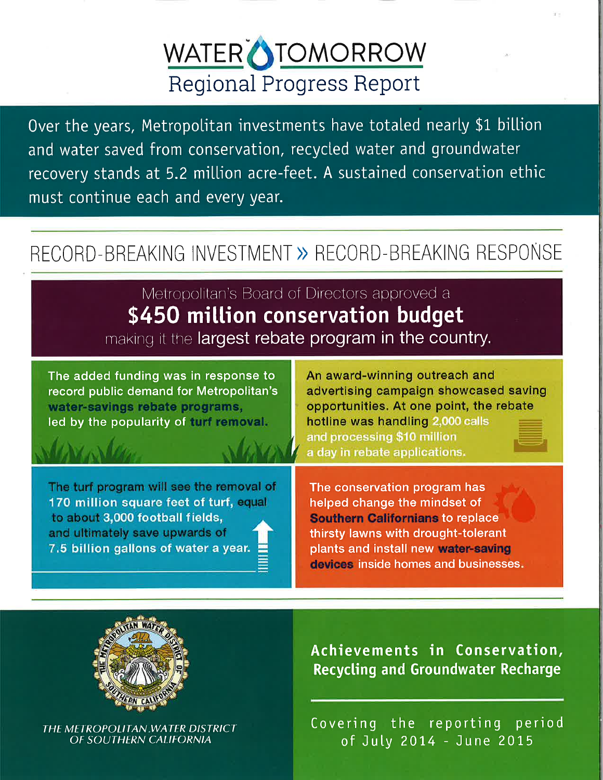## WATER OTOMORROW Regional Progress Report

Over the years, Metropolitan investments have totaled nearly \$1 billion and water saved from conservation, recycled water and groundwater recovery stands at 5.2 miLlion acre-feet. A sustained conservation ethic must continue each and every year.

### RECORD-BREAKING INVESTMENT >> RECORD-BREAKING RESPOÑSE

Metropolitan's Board of Directors approved a \$450 mitlion conservation budget making it the largest rebate program in the country.

The added funding was in response to record public demand for Metropolitan's water-savings rebate programs, led by the popularity of turf removal.

An award-winning outreach and advertising campaign showcased saving opportunities. At one point, the rebate hotline was handling 2,000 calls and processing \$10 million a day in rebate applications.

The turf program will see the removal of 170 million square feet of turf, equal to about 3,000 football fields, and ultimately save upwards of 7.5 billion gallons of water a year.

The conservation program has helped change the mindset of **Southern Californians to replace** thirsty lawns with drought-tolerant plants and install new water-saving devices inside homes and businesses.



THE METROPOLITAN WATER DISTRICT OF SOUTHERN CALIFORNIA

Achievements in Conservation, Recycling and Groundwater Recharge

Covering the reporting period of July 2014 - June 2015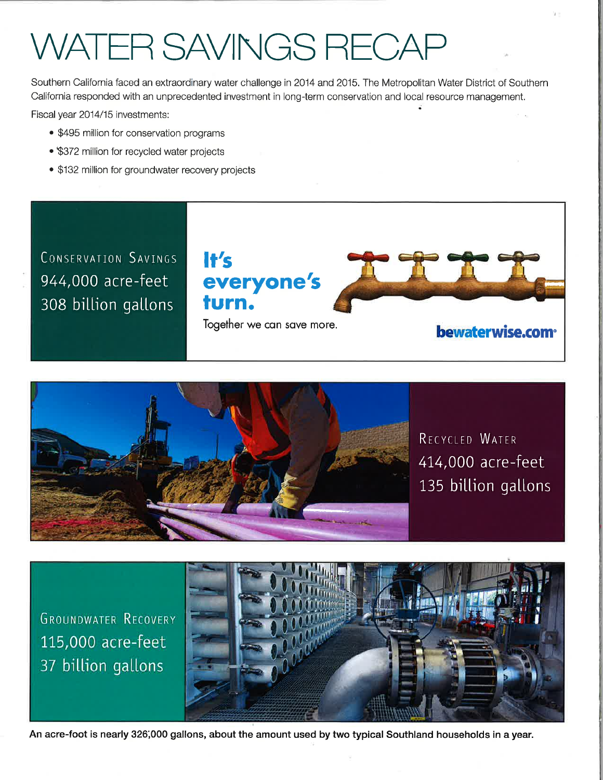# WATER SAVINGS RECA

Southern California faced an extraordinary water challenge in 2014 and 2015. The Metropolitan Water District of Southern California responded with an unprecedented investment in long-term conservation and local resource management.

Fiscal year 2014/15 investments:

- \$495 million for conservation programs
- \$372 million for recycled water projects
- \$132 million for groundwater recovery projects

CONSERVATION SAVINGS 944,000 acre-feet 308 billion gallons

### It's everyone's turn.

Together we can save more.

bewaterwise.com<sup>®</sup>



RECYCLED WATER 414,000 acre-feet 135 billion gallons

**GROUNDWATER RECOVERY** 115,000 acre-feet 37 billion gallons



An acre-foot is nearly 326,000 gallons, about the amount used by two typical Southland households in a year.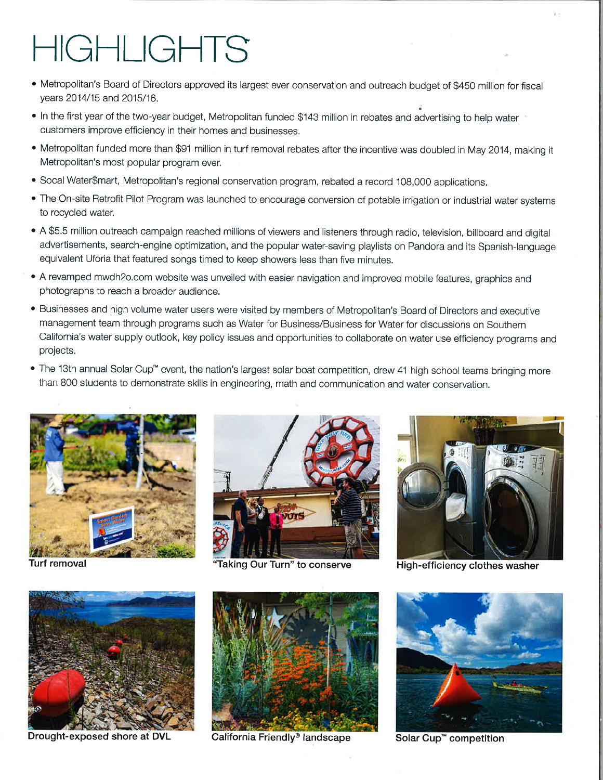# HIGHLIGHTS

- Metropolitan's Board of Directors approved its largest ever conservation and outreach budget of \$450 million for fiscal years 2014/15 and 2015/16.
- In the first year of the two-year budget, Metropolitan funded \$143 million in rebates and advertising to help water customers improve efficiency in their homes and businesses.
- . Metropolítan funded more than \$91 million in turf removal rebates after the incentive was doubled in May 2014, making it Metropolitan's most popular program ever.
- . SocalWater\$mart, Metropolitan's regional conservation program, rebated a record '1OB,0OO applications.
- The On-site Retrofit Pilot Program was launched to encourage conversion of potable irrigation or industrial water systems to recycled water,
- . A \$5.5 million outreach campaign reached millions of viewers and listeners through radio, television, billboard and digital advertisements, search-engine optimization, and the popular water-saving playlists on Pandora and its Spanish-language equivalent Uforia that featured songs timed to keep showers less than five minutes.
- A revamped mwdh2o.com website was unveiled with easier navigation and improved mobile features, graphics and photographs to reach a broader audience.
- ' Businesses and high volume water users were visited by members of Metropolitan's Board of Directors and executive management team through programs such as Water for Business/Business for Water for discussions on Southern California's water supply outlook, key policy issues and opportunities to collaborate on water use efficiency programs and projects.
- . The 13th annual Solar Cup™ event, the nation's largest solar boat competition, drew 41 high school teams bringing more than 800 students to demonstrate skills in engineering, math and communication and water conservation.





Turf removal **Taking Our Turn**" to conserve High-efficiency clothes washer





Drought-exposed shore at DVL California Friendly<sup>®</sup> landscape Solar Cup<sup>™</sup> competition